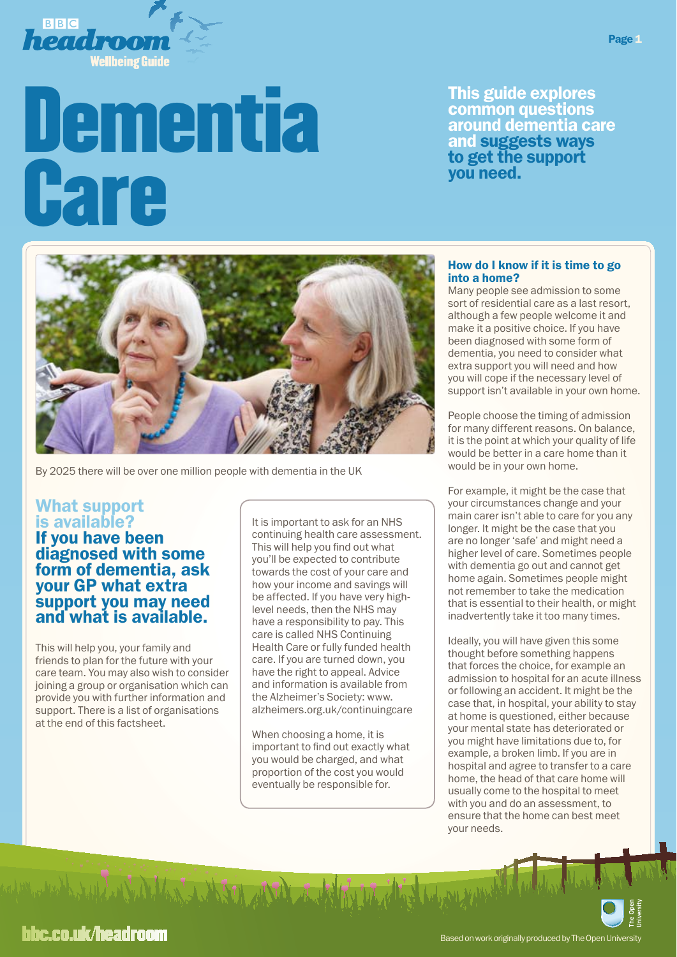

# Dementia **Care**

This guide explores common questions around dementia care and suggests ways to get the support you need.



By 2025 there will be over one million people with dementia in the UK

## What support is available?

# If you have been diagnosed with some form of dementia, ask your GP what extra support you may need and what is available.

This will help you, your family and friends to plan for the future with your care team. You may also wish to consider joining a group or organisation which can provide you with further information and support. There is a list of organisations at the end of this factsheet.

del de l'autres de la deux de la deux

It is important to ask for an NHS continuing health care assessment. This will help you find out what you'll be expected to contribute towards the cost of your care and how your income and savings will be affected. If you have very highlevel needs, then the NHS may have a responsibility to pay. This care is called NHS Continuing Health Care or fully funded health care. If you are turned down, you have the right to appeal. Advice and information is available from the Alzheimer's Society: www. [alzheimers.org.uk/continuingcare](http://www.alzheimers.org.uk/continuingcare)

When choosing a home, it is important to find out exactly what you would be charged, and what proportion of the cost you would eventually be responsible for.

#### How do I know if it is time to go into a home?

Many people see admission to some sort of residential care as a last resort, although a few people welcome it and make it a positive choice. If you have been diagnosed with some form of dementia, you need to consider what extra support you will need and how you will cope if the necessary level of support isn't available in your own home.

People choose the timing of admission for many different reasons. On balance, it is the point at which your quality of life would be better in a care home than it would be in your own home.

For example, it might be the case that your circumstances change and your main carer isn't able to care for you any longer. It might be the case that you are no longer 'safe' and might need a higher level of care. Sometimes people with dementia go out and cannot get home again. Sometimes people might not remember to take the medication that is essential to their health, or might inadvertently take it too many times.

Ideally, you will have given this some thought before something happens that forces the choice, for example an admission to hospital for an acute illness or following an accident. It might be the case that, in hospital, your ability to stay at home is questioned, either because your mental state has deteriorated or you might have limitations due to, for example, a broken limb. If you are in hospital and agree to transfer to a care home, the head of that care home will usually come to the hospital to meet with you and do an assessment, to ensure that the home can best meet your needs.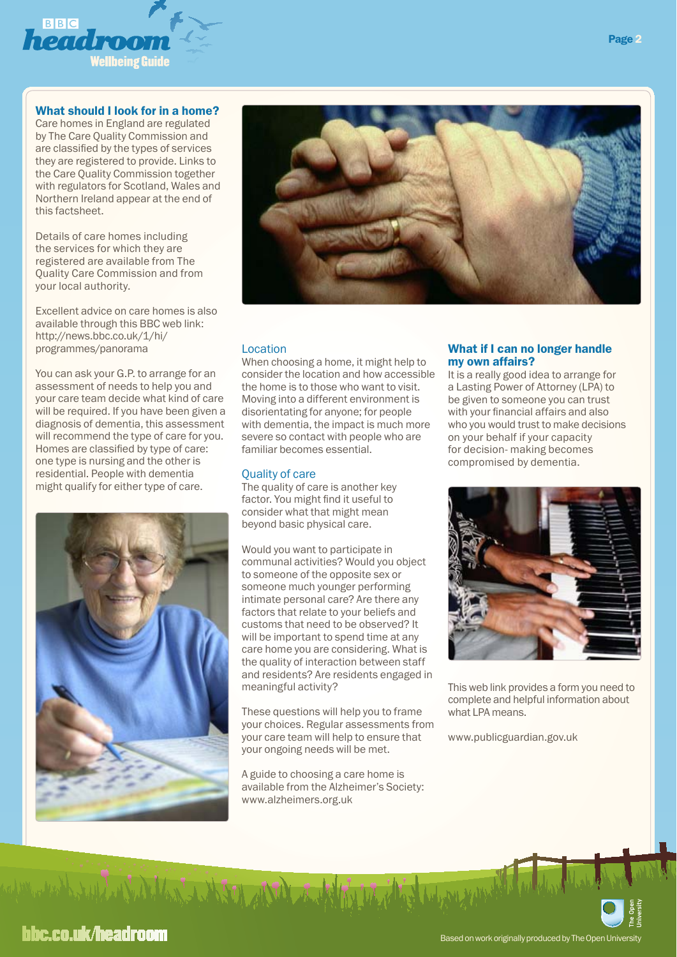

#### What should I look for in a home?

Care homes in England are regulated by The Care Quality Commission and are classified by the types of services they are registered to provide. Links to the Care Quality Commission together with regulators for Scotland, Wales and Northern Ireland appear at the end of this factsheet.

Details of care homes including the services for which they are registered are available from The Quality Care Commission and from your local authority.

[Excellent advice on care homes is also](http://news.bbc.co.uk/1/hi/programmes/panorama/6354637.stm)  available through this BBC web link: http://news.bbc.co.uk/1/hi/ programmes/panorama

You can ask your G.P. to arrange for an assessment of needs to help you and your care team decide what kind of care will be required. If you have been given a diagnosis of dementia, this assessment will recommend the type of care for you. Homes are classified by type of care: one type is nursing and the other is residential. People with dementia might qualify for either type of care.





#### Location

When choosing a home, it might help to consider the location and how accessible the home is to those who want to visit. Moving into a different environment is disorientating for anyone; for people with dementia, the impact is much more severe so contact with people who are familiar becomes essential.

#### Quality of care

The quality of care is another key factor. You might find it useful to consider what that might mean beyond basic physical care.

Would you want to participate in communal activities? Would you object to someone of the opposite sex or someone much younger performing intimate personal care? Are there any factors that relate to your beliefs and customs that need to be observed? It will be important to spend time at any care home you are considering. What is the quality of interaction between staff and residents? Are residents engaged in meaningful activity?

These questions will help you to frame your choices. Regular assessments from your care team will help to ensure that your ongoing needs will be met.

A guide to choosing a care home is [available from the Alzheimer's Society:](http://www.alzheimers.org.uk/site/scripts/download_info.php?fileID=306) www.alzheimers.org.uk

#### What if I can no longer handle my own affairs?

It is a really good idea to arrange for a Lasting Power of Attorney (LPA) to be given to someone you can trust with your financial affairs and also who you would trust to make decisions on your behalf if your capacity for decision- making becomes compromised by dementia.



[This web link provides a form you need to](http://www.publicguardian.gov.uk/forms/Making-an-LPA.htm)  complete and helpful information about what LPA means.

www.publicguardian.gov.uk

# bbc.co.uk/headroom

Well and Warrent and the Del with the